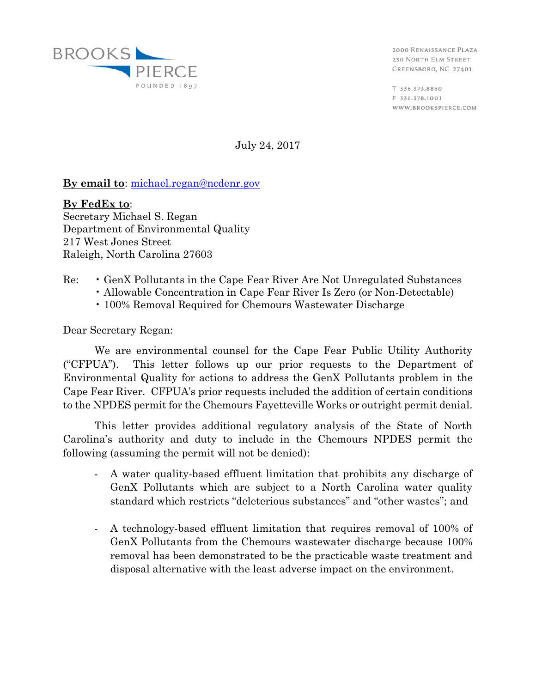

2000 RENAISSANCE PLAZA 230 NORTH ELM STREET GREENSBORO, NC 27401

T 336.373.8850 F 336,378,1001 WWW.BROOKSPIERCE.COM

July 24, 2017

## **By email to**: [michael.regan@ncdenr.gov](mailto:michael.regan@ncdenr.gov)

**By FedEx to**: Secretary Michael S. Regan Department of Environmental Quality 217 West Jones Street Raleigh, North Carolina 27603

## Re: • GenX Pollutants in the Cape Fear River Are Not Unregulated Substances

- Allowable Concentration in Cape Fear River Is Zero (or Non-Detectable)
- 100% Removal Required for Chemours Wastewater Discharge

Dear Secretary Regan:

We are environmental counsel for the Cape Fear Public Utility Authority ("CFPUA"). This letter follows up our prior requests to the Department of Environmental Quality for actions to address the GenX Pollutants problem in the Cape Fear River. CFPUA's prior requests included the addition of certain conditions to the NPDES permit for the Chemours Fayetteville Works or outright permit denial.

This letter provides additional regulatory analysis of the State of North Carolina's authority and duty to include in the Chemours NPDES permit the following (assuming the permit will not be denied):

- A water quality-based effluent limitation that prohibits any discharge of GenX Pollutants which are subject to a North Carolina water quality standard which restricts "deleterious substances" and "other wastes"; and
- A technology-based effluent limitation that requires removal of 100% of GenX Pollutants from the Chemours wastewater discharge because 100% removal has been demonstrated to be the practicable waste treatment and disposal alternative with the least adverse impact on the environment.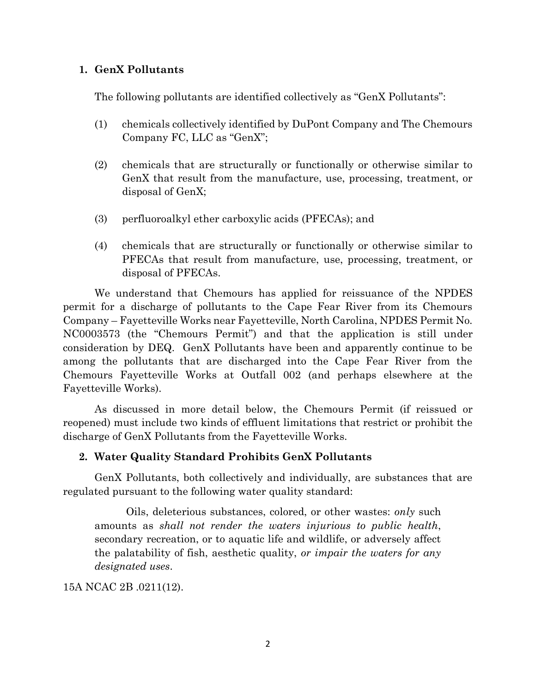#### **1. GenX Pollutants**

The following pollutants are identified collectively as "GenX Pollutants":

- (1) chemicals collectively identified by DuPont Company and The Chemours Company FC, LLC as "GenX";
- (2) chemicals that are structurally or functionally or otherwise similar to GenX that result from the manufacture, use, processing, treatment, or disposal of GenX;
- (3) perfluoroalkyl ether carboxylic acids (PFECAs); and
- (4) chemicals that are structurally or functionally or otherwise similar to PFECAs that result from manufacture, use, processing, treatment, or disposal of PFECAs.

We understand that Chemours has applied for reissuance of the NPDES permit for a discharge of pollutants to the Cape Fear River from its Chemours Company – Fayetteville Works near Fayetteville, North Carolina, NPDES Permit No. NC0003573 (the "Chemours Permit") and that the application is still under consideration by DEQ. GenX Pollutants have been and apparently continue to be among the pollutants that are discharged into the Cape Fear River from the Chemours Fayetteville Works at Outfall 002 (and perhaps elsewhere at the Fayetteville Works).

As discussed in more detail below, the Chemours Permit (if reissued or reopened) must include two kinds of effluent limitations that restrict or prohibit the discharge of GenX Pollutants from the Fayetteville Works.

## **2. Water Quality Standard Prohibits GenX Pollutants**

GenX Pollutants, both collectively and individually, are substances that are regulated pursuant to the following water quality standard:

Oils, deleterious substances, colored, or other wastes: *only* such amounts as *shall not render the waters injurious to public health*, secondary recreation, or to aquatic life and wildlife, or adversely affect the palatability of fish, aesthetic quality, *or impair the waters for any designated uses*.

## 15A NCAC 2B .0211(12).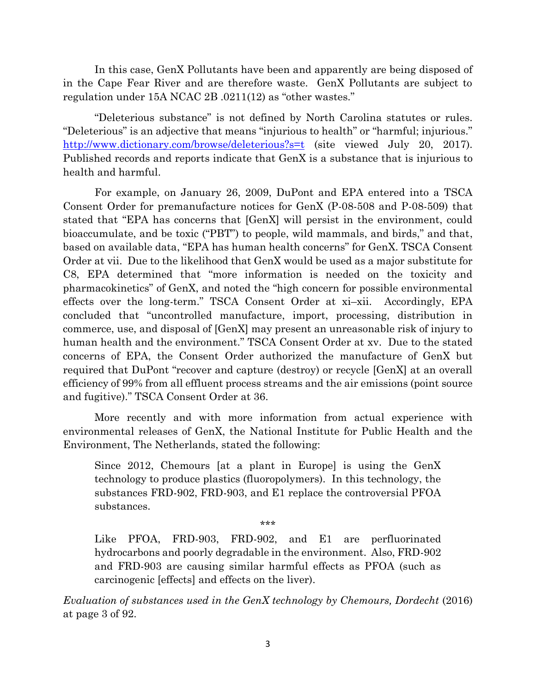In this case, GenX Pollutants have been and apparently are being disposed of in the Cape Fear River and are therefore waste. GenX Pollutants are subject to regulation under 15A NCAC 2B .0211(12) as "other wastes."

"Deleterious substance" is not defined by North Carolina statutes or rules. "Deleterious" is an adjective that means "injurious to health" or "harmful; injurious." <http://www.dictionary.com/browse/deleterious?s=t> (site viewed July 20, 2017). Published records and reports indicate that GenX is a substance that is injurious to health and harmful.

For example, on January 26, 2009, DuPont and EPA entered into a TSCA Consent Order for premanufacture notices for GenX (P-08-508 and P-08-509) that stated that "EPA has concerns that [GenX] will persist in the environment, could bioaccumulate, and be toxic ("PBT") to people, wild mammals, and birds," and that, based on available data, "EPA has human health concerns" for GenX. TSCA Consent Order at vii. Due to the likelihood that GenX would be used as a major substitute for C8, EPA determined that "more information is needed on the toxicity and pharmacokinetics" of GenX, and noted the "high concern for possible environmental effects over the long-term." TSCA Consent Order at xi–xii. Accordingly, EPA concluded that "uncontrolled manufacture, import, processing, distribution in commerce, use, and disposal of [GenX] may present an unreasonable risk of injury to human health and the environment." TSCA Consent Order at xv. Due to the stated concerns of EPA, the Consent Order authorized the manufacture of GenX but required that DuPont "recover and capture (destroy) or recycle [GenX] at an overall efficiency of 99% from all effluent process streams and the air emissions (point source and fugitive)." TSCA Consent Order at 36.

More recently and with more information from actual experience with environmental releases of GenX, the National Institute for Public Health and the Environment, The Netherlands, stated the following:

Since 2012, Chemours [at a plant in Europe] is using the GenX technology to produce plastics (fluoropolymers). In this technology, the substances FRD-902, FRD-903, and E1 replace the controversial PFOA substances.

\*\*\*

Like PFOA, FRD-903, FRD-902, and E1 are perfluorinated hydrocarbons and poorly degradable in the environment. Also, FRD-902 and FRD-903 are causing similar harmful effects as PFOA (such as carcinogenic [effects] and effects on the liver).

*Evaluation of substances used in the GenX technology by Chemours, Dordecht* (2016) at page 3 of 92.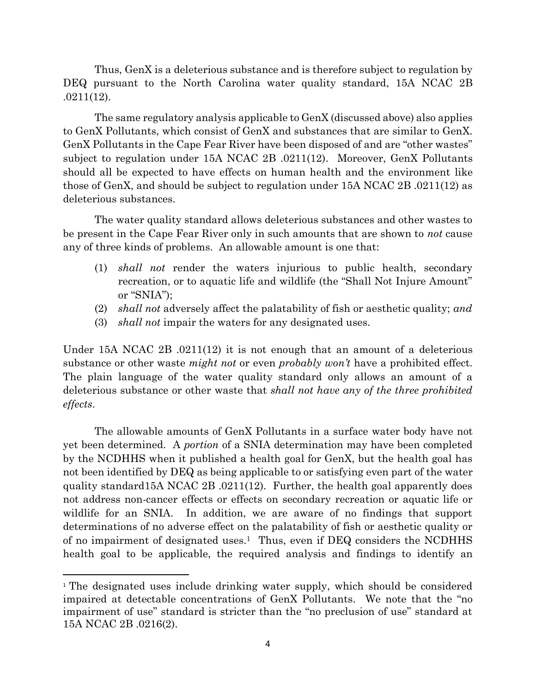Thus, GenX is a deleterious substance and is therefore subject to regulation by DEQ pursuant to the North Carolina water quality standard, 15A NCAC 2B .0211(12).

The same regulatory analysis applicable to GenX (discussed above) also applies to GenX Pollutants, which consist of GenX and substances that are similar to GenX. GenX Pollutants in the Cape Fear River have been disposed of and are "other wastes" subject to regulation under 15A NCAC 2B .0211(12). Moreover, GenX Pollutants should all be expected to have effects on human health and the environment like those of GenX, and should be subject to regulation under 15A NCAC 2B .0211(12) as deleterious substances.

The water quality standard allows deleterious substances and other wastes to be present in the Cape Fear River only in such amounts that are shown to *not* cause any of three kinds of problems. An allowable amount is one that:

- (1) *shall not* render the waters injurious to public health, secondary recreation, or to aquatic life and wildlife (the "Shall Not Injure Amount" or "SNIA");
- (2) *shall not* adversely affect the palatability of fish or aesthetic quality; *and*
- (3) *shall not* impair the waters for any designated uses.

Under 15A NCAC 2B .0211(12) it is not enough that an amount of a deleterious substance or other waste *might not* or even *probably won't* have a prohibited effect. The plain language of the water quality standard only allows an amount of a deleterious substance or other waste that *shall not have any of the three prohibited effects*.

The allowable amounts of GenX Pollutants in a surface water body have not yet been determined. A *portion* of a SNIA determination may have been completed by the NCDHHS when it published a health goal for GenX, but the health goal has not been identified by DEQ as being applicable to or satisfying even part of the water quality standard15A NCAC 2B .0211(12). Further, the health goal apparently does not address non-cancer effects or effects on secondary recreation or aquatic life or wildlife for an SNIA. In addition, we are aware of no findings that support determinations of no adverse effect on the palatability of fish or aesthetic quality or of no impairment of designated uses.1 Thus, even if DEQ considers the NCDHHS health goal to be applicable, the required analysis and findings to identify an

 $\overline{a}$ 

<sup>&</sup>lt;sup>1</sup> The designated uses include drinking water supply, which should be considered impaired at detectable concentrations of GenX Pollutants. We note that the "no impairment of use" standard is stricter than the "no preclusion of use" standard at 15A NCAC 2B .0216(2).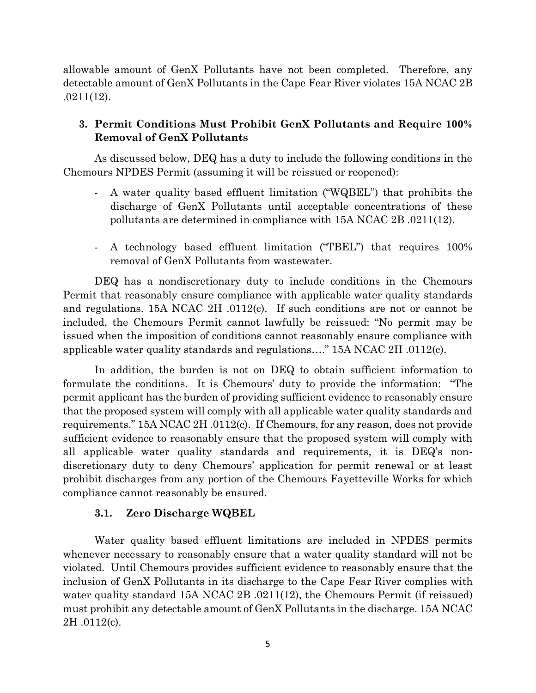allowable amount of GenX Pollutants have not been completed. Therefore, any detectable amount of GenX Pollutants in the Cape Fear River violates 15A NCAC 2B .0211(12).

# **3. Permit Conditions Must Prohibit GenX Pollutants and Require 100% Removal of GenX Pollutants**

As discussed below, DEQ has a duty to include the following conditions in the Chemours NPDES Permit (assuming it will be reissued or reopened):

- A water quality based effluent limitation ("WQBEL") that prohibits the discharge of GenX Pollutants until acceptable concentrations of these pollutants are determined in compliance with 15A NCAC 2B .0211(12).
- A technology based effluent limitation ("TBEL") that requires 100% removal of GenX Pollutants from wastewater.

DEQ has a nondiscretionary duty to include conditions in the Chemours Permit that reasonably ensure compliance with applicable water quality standards and regulations. 15A NCAC 2H .0112(c). If such conditions are not or cannot be included, the Chemours Permit cannot lawfully be reissued: "No permit may be issued when the imposition of conditions cannot reasonably ensure compliance with applicable water quality standards and regulations…." 15A NCAC 2H .0112(c).

In addition, the burden is not on DEQ to obtain sufficient information to formulate the conditions. It is Chemours' duty to provide the information: "The permit applicant has the burden of providing sufficient evidence to reasonably ensure that the proposed system will comply with all applicable water quality standards and requirements." 15A NCAC 2H .0112(c). If Chemours, for any reason, does not provide sufficient evidence to reasonably ensure that the proposed system will comply with all applicable water quality standards and requirements, it is DEQ's nondiscretionary duty to deny Chemours' application for permit renewal or at least prohibit discharges from any portion of the Chemours Fayetteville Works for which compliance cannot reasonably be ensured.

## **3.1. Zero Discharge WQBEL**

Water quality based effluent limitations are included in NPDES permits whenever necessary to reasonably ensure that a water quality standard will not be violated. Until Chemours provides sufficient evidence to reasonably ensure that the inclusion of GenX Pollutants in its discharge to the Cape Fear River complies with water quality standard 15A NCAC 2B .0211(12), the Chemours Permit (if reissued) must prohibit any detectable amount of GenX Pollutants in the discharge. 15A NCAC 2H .0112(c).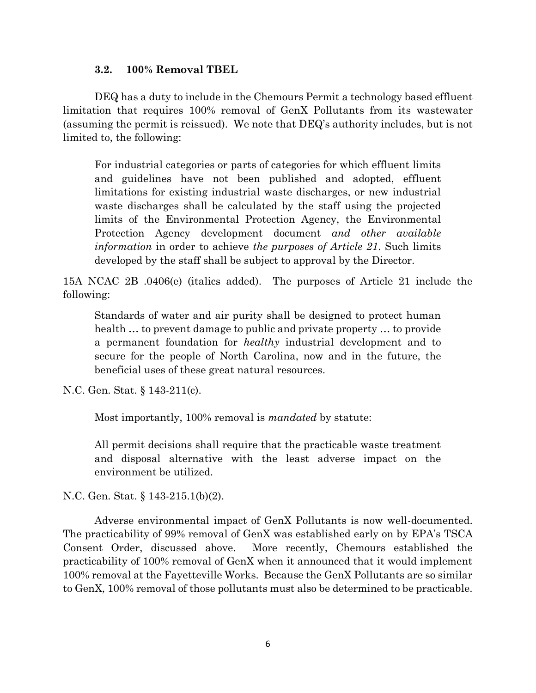#### **3.2. 100% Removal TBEL**

DEQ has a duty to include in the Chemours Permit a technology based effluent limitation that requires 100% removal of GenX Pollutants from its wastewater (assuming the permit is reissued). We note that DEQ's authority includes, but is not limited to, the following:

For industrial categories or parts of categories for which effluent limits and guidelines have not been published and adopted, effluent limitations for existing industrial waste discharges, or new industrial waste discharges shall be calculated by the staff using the projected limits of the Environmental Protection Agency, the Environmental Protection Agency development document *and other available information* in order to achieve *the purposes of Article 21*. Such limits developed by the staff shall be subject to approval by the Director.

15A NCAC 2B .0406(e) (italics added). The purposes of Article 21 include the following:

Standards of water and air purity shall be designed to protect human health … to prevent damage to public and private property … to provide a permanent foundation for *healthy* industrial development and to secure for the people of North Carolina, now and in the future, the beneficial uses of these great natural resources.

N.C. Gen. Stat. § 143-211(c).

Most importantly, 100% removal is *mandated* by statute:

All permit decisions shall require that the practicable waste treatment and disposal alternative with the least adverse impact on the environment be utilized.

N.C. Gen. Stat. § 143-215.1(b)(2).

Adverse environmental impact of GenX Pollutants is now well-documented. The practicability of 99% removal of GenX was established early on by EPA's TSCA Consent Order, discussed above. More recently, Chemours established the practicability of 100% removal of GenX when it announced that it would implement 100% removal at the Fayetteville Works. Because the GenX Pollutants are so similar to GenX, 100% removal of those pollutants must also be determined to be practicable.